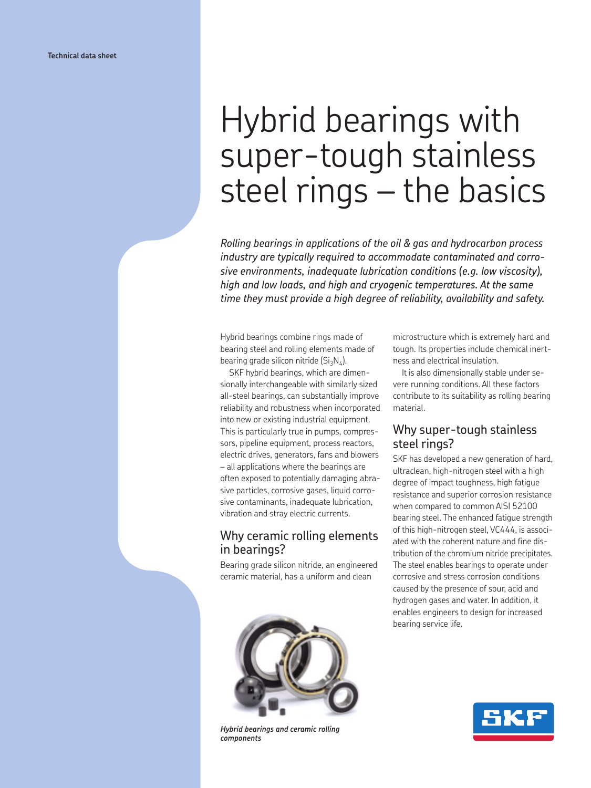# Hybrid bearings with super-tough stainless steel rings – the basics

*Rolling bearings in applications of the oil & gas and hydrocarbon process industry are typically required to accommodate contaminated and corrosive environments, inadequate lubrication conditions (e.g. low viscosity), high and low loads, and high and cryogenic temperatures. At the same time they must provide a high degree of reliability, availability and safety.*

Hybrid bearings combine rings made of bearing steel and rolling elements made of bearing grade silicon nitride  $(Si_3N_4)$ .

SKF hybrid bearings, which are dimensionally interchangeable with similarly sized all-steel bearings, can substantially improve reliability and robustness when incorporated into new or existing industrial equipment. This is particularly true in pumps, compressors, pipeline equipment, process reactors, electric drives, generators, fans and blowers – all applications where the bearings are often exposed to potentially damaging abrasive particles, corrosive gases, liquid corrosive contaminants, inadequate lubrication, vibration and stray electric currents.

## Why ceramic rolling elements in bearings?

Bearing grade silicon nitride, an engineered ceramic material, has a uniform and clean



*Hybrid bearings and ceramic rolling components*

microstructure which is extremely hard and tough. Its properties include chemical inertness and electrical insulation.

It is also dimensionally stable under severe running conditions. All these factors contribute to its suitability as rolling bearing material.

## Why super-tough stainless steel rings?

SKF has developed a new generation of hard, ultraclean, high-nitrogen steel with a high degree of impact toughness, high fatigue resistance and superior corrosion resistance when compared to common AISI 52100 bearing steel. The enhanced fatigue strength of this high-nitrogen steel, VC444, is associated with the coherent nature and fine distribution of the chromium nitride precipitates. The steel enables bearings to operate under corrosive and stress corrosion conditions caused by the presence of sour, acid and hydrogen gases and water. In addition, it enables engineers to design for increased bearing service life.

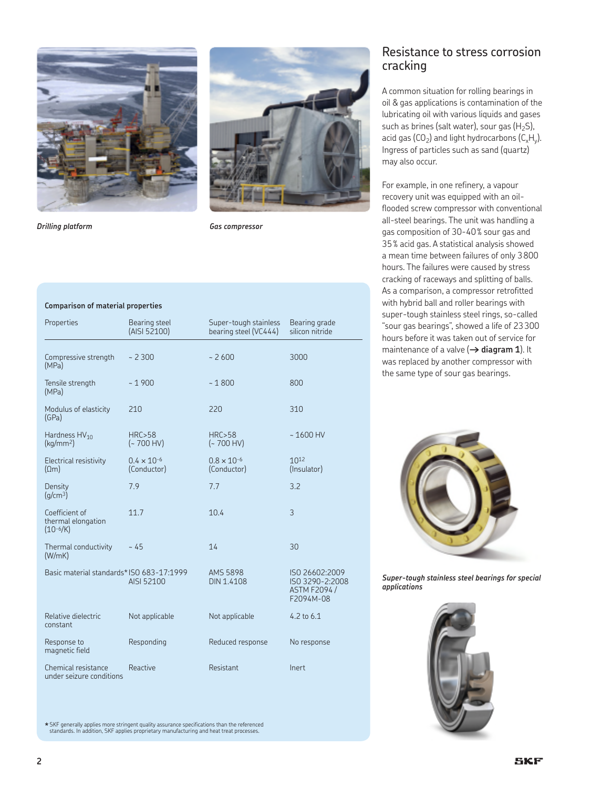



*Drilling platform Gas compressor*

#### **Comparison of material properties**

| Properties                                            | Bearing steel<br>(AISI 52100)       | Super-tough stainless<br>bearing steel (VC444) | Bearing grade<br>silicon nitride                                      |
|-------------------------------------------------------|-------------------------------------|------------------------------------------------|-----------------------------------------------------------------------|
| Compressive strength<br>(MPa)                         | $-2300$                             | $-2600$                                        | 3000                                                                  |
| Tensile strength<br>(MPa)                             | $-1900$                             | $-1800$                                        | 800                                                                   |
| Modulus of elasticity<br>(GPa)                        | 210                                 | 220                                            | 310                                                                   |
| Hardness $HV_{10}$<br>(kq/mm <sup>2</sup> )           | HRC > 58<br>$(-700$ HV)             | HRC > 58<br>$(-700$ HV)                        | $-1600$ HV                                                            |
| Electrical resistivity<br>$(\Omega m)$                | $0.4 \times 10^{-6}$<br>(Conductor) | $0.8 \times 10^{-6}$<br>(Conductor)            | 1012<br>(Insulator)                                                   |
| Density<br>(q/cm <sup>3</sup> )                       | 7.9                                 | 7.7                                            | 3.2                                                                   |
| Coefficient of<br>thermal elongation<br>$(10^{-6}/K)$ | 11.7                                | 10.4                                           | 3                                                                     |
| Thermal conductivity<br>(W/mK)                        | $~-45$                              | 14                                             | 30                                                                    |
| Basic material standards* ISO 683-17:1999             | AISI 52100                          | <b>AMS 5898</b><br>DIN 1.4108                  | ISO 26602:2009<br>ISO 3290-2:2008<br><b>ASTM F2094 /</b><br>F2094M-08 |
| Relative dielectric<br>constant                       | Not applicable                      | Not applicable                                 | 4.2 to $6.1$                                                          |
| Response to<br>magnetic field                         | Responding                          | Reduced response                               | No response                                                           |
| Chemical resistance<br>under seizure conditions       | Reactive                            | Resistant                                      | Inert                                                                 |

**\*** SKF generally applies more stringent quality assurance specifications than the referenced standards. In addition, SKF applies proprietary manufacturing and heat treat processes.

## Resistance to stress corrosion cracking

A common situation for rolling bearings in oil & gas applications is contamination of the lubricating oil with various liquids and gases such as brines (salt water), sour gas  $(H_2S)$ , acid gas  $(CO_2)$  and light hydrocarbons  $(C_xH_y)$ . Ingress of particles such as sand (quartz) may also occur.

For example, in one refinery, a vapour recovery unit was equipped with an oilflooded screw compressor with conventional all-steel bearings. The unit was handling a gas composition of 30-40% sour gas and 35% acid gas. A statistical analysis showed a mean time between failures of only 3800 hours. The failures were caused by stress cracking of raceways and splitting of balls. As a comparison, a compressor retrofitted with hybrid ball and roller bearings with super-tough stainless steel rings, so-called "sour gas bearings", showed a life of 23300 hours before it was taken out of service for maintenance of a valve  $(\rightarrow$  **diagram 1**). It was replaced by another compressor with the same type of sour gas bearings.



*Super-tough stainless steel bearings for special applications*

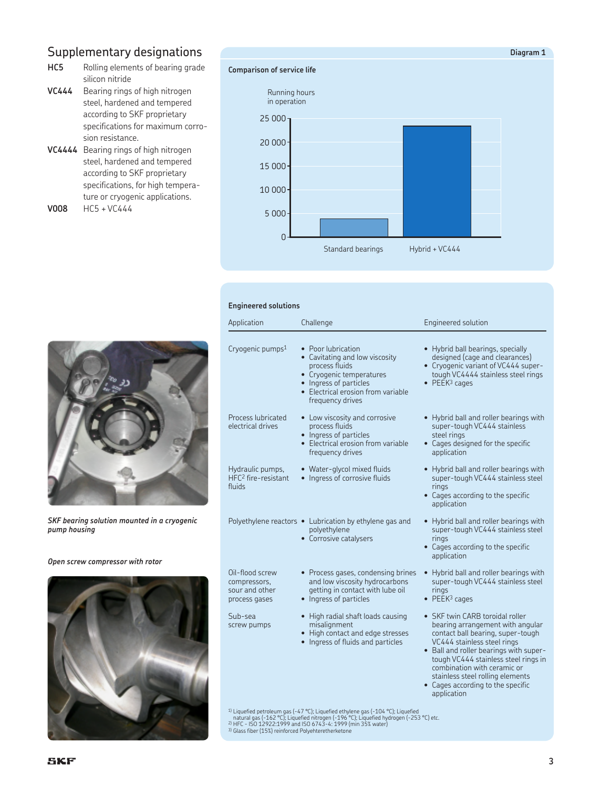# Supplementary designations

- **HC5** Rolling elements of bearing grade silicon nitride
- **VC444** Bearing rings of high nitrogen steel, hardened and tempered according to SKF proprietary specifications for maximum corrosion resistance.
- **VC4444** Bearing rings of high nitrogen steel, hardened and tempered according to SKF proprietary specifications, for high temperature or cryogenic applications. **V008** HC5 + VC444

## **Comparison of service life**

25 000<sub>1</sub> 20 000 15 000 10 000 5 000  $\overline{0}$ Running hours in operation Standard bearings Hybrid + VC444

### **Engineered solutions**



*SKF bearing solution mounted in a cryogenic pump housing*

#### *Open screw compressor with rotor*



| Application                                                        | Challenge                                                                                                                                                                              | Engineered solution                                                                                                                                                                                                                                                                                                                              |
|--------------------------------------------------------------------|----------------------------------------------------------------------------------------------------------------------------------------------------------------------------------------|--------------------------------------------------------------------------------------------------------------------------------------------------------------------------------------------------------------------------------------------------------------------------------------------------------------------------------------------------|
| Cryogenic pumps <sup>1</sup>                                       | • Poor lubrication<br>• Cavitating and low viscosity<br>process fluids<br>• Cryogenic temperatures<br>• Ingress of particles<br>• Electrical erosion from variable<br>frequency drives | • Hybrid ball bearings, specially<br>designed (cage and clearances)<br>• Cryogenic variant of VC444 super-<br>tough VC4444 stainless steel rings<br>$\bullet$ PEEK <sup>3</sup> cages                                                                                                                                                            |
| Process lubricated<br>electrical drives                            | • Low viscosity and corrosive<br>process fluids<br>• Ingress of particles<br>• Electrical erosion from variable<br>frequency drives                                                    | • Hybrid ball and roller bearings with<br>super-tough VC444 stainless<br>steel rings<br>• Cages designed for the specific<br>application                                                                                                                                                                                                         |
| Hydraulic pumps,<br>HFC <sup>2</sup> fire-resistant<br>fluids      | • Water-glycol mixed fluids<br>• Ingress of corrosive fluids                                                                                                                           | • Hybrid ball and roller bearings with<br>super-tough VC444 stainless steel<br>rings<br>• Cages according to the specific<br>application                                                                                                                                                                                                         |
|                                                                    | Polyethylene reactors • Lubrication by ethylene gas and<br>polyethylene<br>• Corrosive catalysers                                                                                      | • Hybrid ball and roller bearings with<br>super-tough VC444 stainless steel<br>rings<br>• Cages according to the specific<br>application                                                                                                                                                                                                         |
| Oil-flood screw<br>compressors,<br>sour and other<br>process gases | • Process gases, condensing brines<br>and low viscosity hydrocarbons<br>getting in contact with lube oil<br>• Ingress of particles                                                     | • Hybrid ball and roller bearings with<br>super-tough VC444 stainless steel<br>rings<br>$\bullet$ PEEK <sup>3</sup> cages                                                                                                                                                                                                                        |
| Sub-sea<br>screw pumps                                             | • High radial shaft loads causing<br>misalignment<br>• High contact and edge stresses<br>Ingress of fluids and particles                                                               | • SKF twin CARB toroidal roller<br>bearing arrangement with angular<br>contact ball bearing, super-tough<br>VC444 stainless steel rings<br>• Ball and roller bearings with super-<br>tough VC444 stainless steel rings in<br>combination with ceramic or<br>stainless steel rolling elements<br>• Cages according to the specific<br>application |
|                                                                    | <sup>1)</sup> Liquefied petroleum gas (-47 °C); Liquefied ethylene gas (-104 °C); Liquefied<br>natural gas (-162 °C); Liquefied nitrogen (-196 °C); Liquefied hydrogen (-253 °C) etc.  |                                                                                                                                                                                                                                                                                                                                                  |

natural gas (-162 °C); Liquefied nitrogen (-196 °C); Liquefied hydrogen (-253 °C) etc.<br>2) HFC - ISO 12922:1999 and ISO 6743-4: 1999 (min 35% water)<br>3) Glass fiber (15%) reinforced Polyehteretherketone

**Diagram 1**